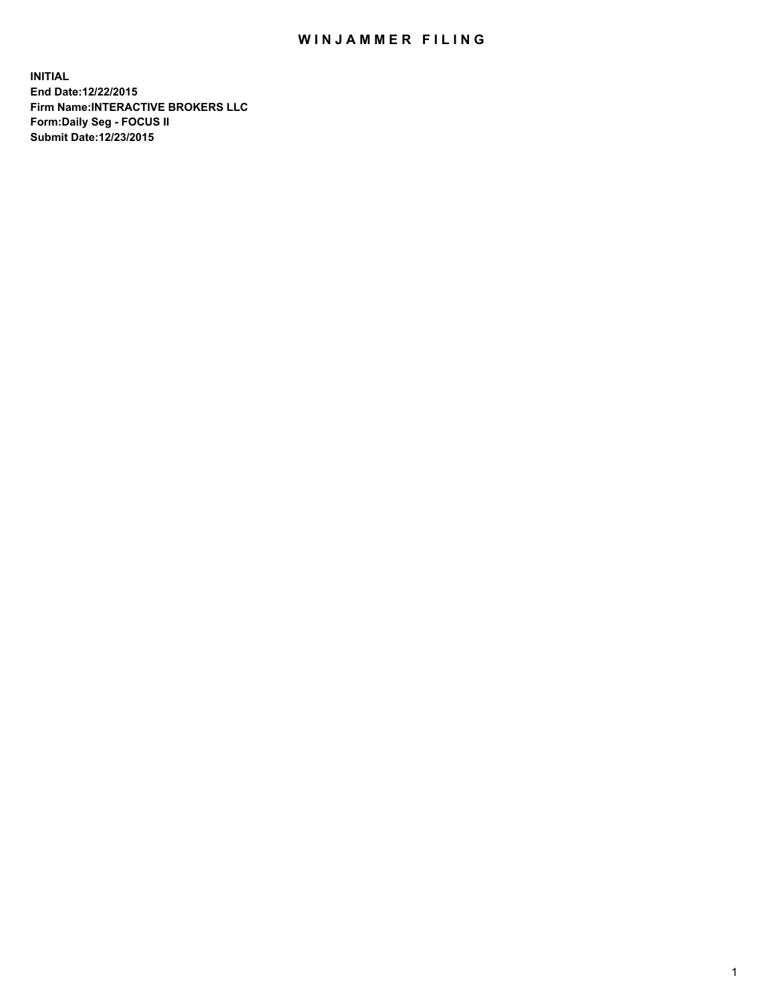## WIN JAMMER FILING

**INITIAL End Date:12/22/2015 Firm Name:INTERACTIVE BROKERS LLC Form:Daily Seg - FOCUS II Submit Date:12/23/2015**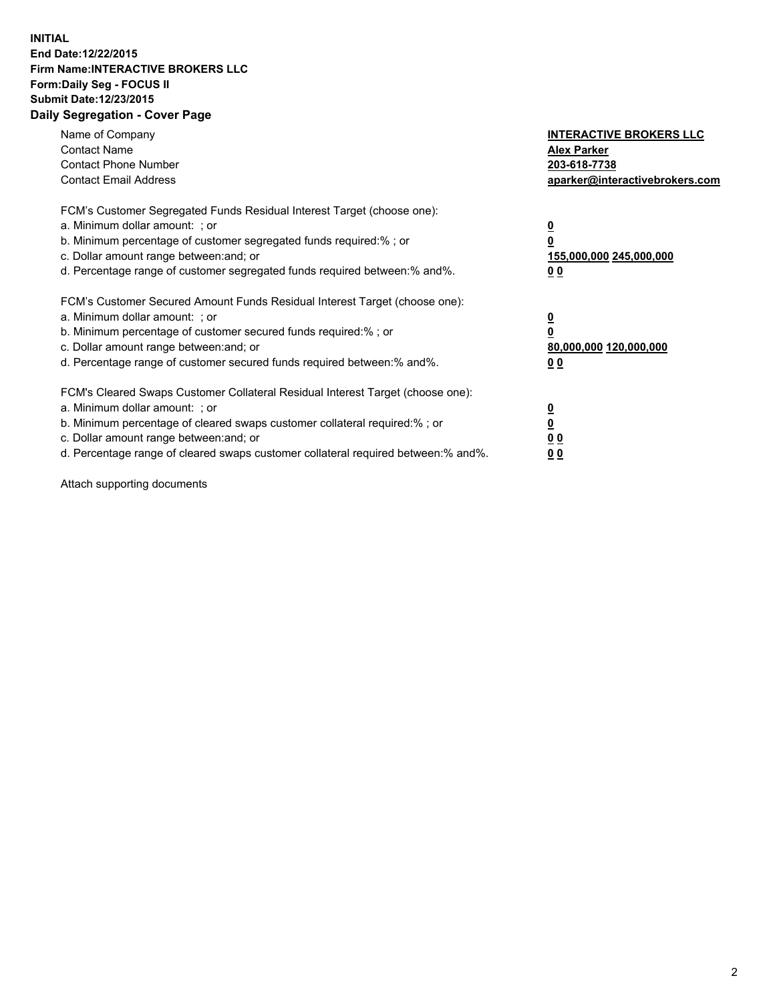## **INITIAL End Date:12/22/2015 Firm Name:INTERACTIVE BROKERS LLC Form:Daily Seg - FOCUS II Submit Date:12/23/2015 Daily Segregation - Cover Page**

| Name of Company<br><b>Contact Name</b><br><b>Contact Phone Number</b><br><b>Contact Email Address</b>                                                                                                                                                                                                                          | <b>INTERACTIVE BROKERS LLC</b><br><b>Alex Parker</b><br>203-618-7738<br>aparker@interactivebrokers.com |
|--------------------------------------------------------------------------------------------------------------------------------------------------------------------------------------------------------------------------------------------------------------------------------------------------------------------------------|--------------------------------------------------------------------------------------------------------|
| FCM's Customer Segregated Funds Residual Interest Target (choose one):<br>a. Minimum dollar amount: ; or<br>b. Minimum percentage of customer segregated funds required:% ; or<br>c. Dollar amount range between: and; or<br>d. Percentage range of customer segregated funds required between:% and%.                         | <u>0</u><br><u>155,000,000 245,000,000</u><br>00                                                       |
| FCM's Customer Secured Amount Funds Residual Interest Target (choose one):<br>a. Minimum dollar amount: ; or<br>b. Minimum percentage of customer secured funds required:%; or<br>c. Dollar amount range between: and; or<br>d. Percentage range of customer secured funds required between: % and %.                          | <u>0</u><br>80,000,000 120,000,000<br>0 <sub>0</sub>                                                   |
| FCM's Cleared Swaps Customer Collateral Residual Interest Target (choose one):<br>a. Minimum dollar amount: ; or<br>b. Minimum percentage of cleared swaps customer collateral required:% ; or<br>c. Dollar amount range between: and; or<br>d. Percentage range of cleared swaps customer collateral required between:% and%. | <u>0</u><br>0 <sub>0</sub><br><u>0 0</u>                                                               |

Attach supporting documents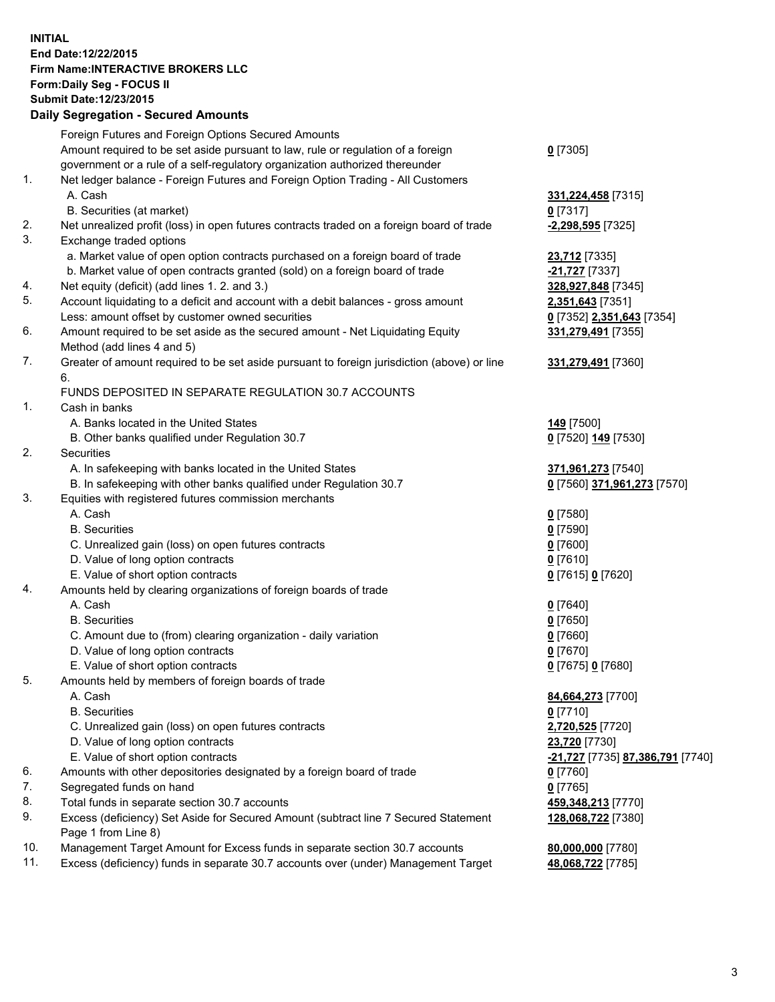## **INITIAL End Date:12/22/2015 Firm Name:INTERACTIVE BROKERS LLC Form:Daily Seg - FOCUS II Submit Date:12/23/2015 Daily Segregation - Secured Amounts**

|     | Daily Jegiegation - Jeculeu Alliounts                                                       |                                        |
|-----|---------------------------------------------------------------------------------------------|----------------------------------------|
|     | Foreign Futures and Foreign Options Secured Amounts                                         |                                        |
|     | Amount required to be set aside pursuant to law, rule or regulation of a foreign            | $0$ [7305]                             |
|     | government or a rule of a self-regulatory organization authorized thereunder                |                                        |
| 1.  | Net ledger balance - Foreign Futures and Foreign Option Trading - All Customers             |                                        |
|     | A. Cash                                                                                     | 331,224,458 [7315]                     |
|     | B. Securities (at market)                                                                   | $0$ [7317]                             |
| 2.  | Net unrealized profit (loss) in open futures contracts traded on a foreign board of trade   | -2,298,595 [7325]                      |
| 3.  | Exchange traded options                                                                     |                                        |
|     | a. Market value of open option contracts purchased on a foreign board of trade              |                                        |
|     | b. Market value of open contracts granted (sold) on a foreign board of trade                | 23,712 [7335]<br><b>-21,727</b> [7337] |
| 4.  | Net equity (deficit) (add lines 1. 2. and 3.)                                               | 328,927,848 [7345]                     |
| 5.  |                                                                                             |                                        |
|     | Account liquidating to a deficit and account with a debit balances - gross amount           | 2,351,643 [7351]                       |
|     | Less: amount offset by customer owned securities                                            | 0 [7352] 2,351,643 [7354]              |
| 6.  | Amount required to be set aside as the secured amount - Net Liquidating Equity              | 331,279,491 [7355]                     |
|     | Method (add lines 4 and 5)                                                                  |                                        |
| 7.  | Greater of amount required to be set aside pursuant to foreign jurisdiction (above) or line | 331,279,491 [7360]                     |
|     | 6.                                                                                          |                                        |
|     | FUNDS DEPOSITED IN SEPARATE REGULATION 30.7 ACCOUNTS                                        |                                        |
| 1.  | Cash in banks                                                                               |                                        |
|     | A. Banks located in the United States                                                       | <b>149</b> [7500]                      |
|     | B. Other banks qualified under Regulation 30.7                                              | 0 [7520] 149 [7530]                    |
| 2.  | Securities                                                                                  |                                        |
|     | A. In safekeeping with banks located in the United States                                   | 371,961,273 [7540]                     |
|     | B. In safekeeping with other banks qualified under Regulation 30.7                          | 0 [7560] 371,961,273 [7570]            |
| 3.  | Equities with registered futures commission merchants                                       |                                        |
|     | A. Cash                                                                                     | $0$ [7580]                             |
|     | <b>B.</b> Securities                                                                        | $0$ [7590]                             |
|     | C. Unrealized gain (loss) on open futures contracts                                         | $0$ [7600]                             |
|     | D. Value of long option contracts                                                           | $0$ [7610]                             |
|     | E. Value of short option contracts                                                          | 0 [7615] 0 [7620]                      |
| 4.  | Amounts held by clearing organizations of foreign boards of trade                           |                                        |
|     | A. Cash                                                                                     | $0$ [7640]                             |
|     | <b>B.</b> Securities                                                                        | $0$ [7650]                             |
|     | C. Amount due to (from) clearing organization - daily variation                             | $0$ [7660]                             |
|     | D. Value of long option contracts                                                           | $0$ [7670]                             |
|     | E. Value of short option contracts                                                          | 0 [7675] 0 [7680]                      |
| 5.  | Amounts held by members of foreign boards of trade                                          |                                        |
|     | A. Cash                                                                                     | 84,664,273 [7700]                      |
|     | <b>B.</b> Securities                                                                        | $0$ [7710]                             |
|     | C. Unrealized gain (loss) on open futures contracts                                         | 2,720,525 [7720]                       |
|     | D. Value of long option contracts                                                           | 23,720 [7730]                          |
|     | E. Value of short option contracts                                                          | -21,727 [7735] 87,386,791 [7740]       |
| 6.  | Amounts with other depositories designated by a foreign board of trade                      | 0 [7760]                               |
| 7.  | Segregated funds on hand                                                                    | $0$ [7765]                             |
| 8.  | Total funds in separate section 30.7 accounts                                               | 459,348,213 [7770]                     |
| 9.  | Excess (deficiency) Set Aside for Secured Amount (subtract line 7 Secured Statement         | 128,068,722 [7380]                     |
|     | Page 1 from Line 8)                                                                         |                                        |
| 10. | Management Target Amount for Excess funds in separate section 30.7 accounts                 | 80,000,000 [7780]                      |
| 11. | Excess (deficiency) funds in separate 30.7 accounts over (under) Management Target          | 48,068,722 [7785]                      |
|     |                                                                                             |                                        |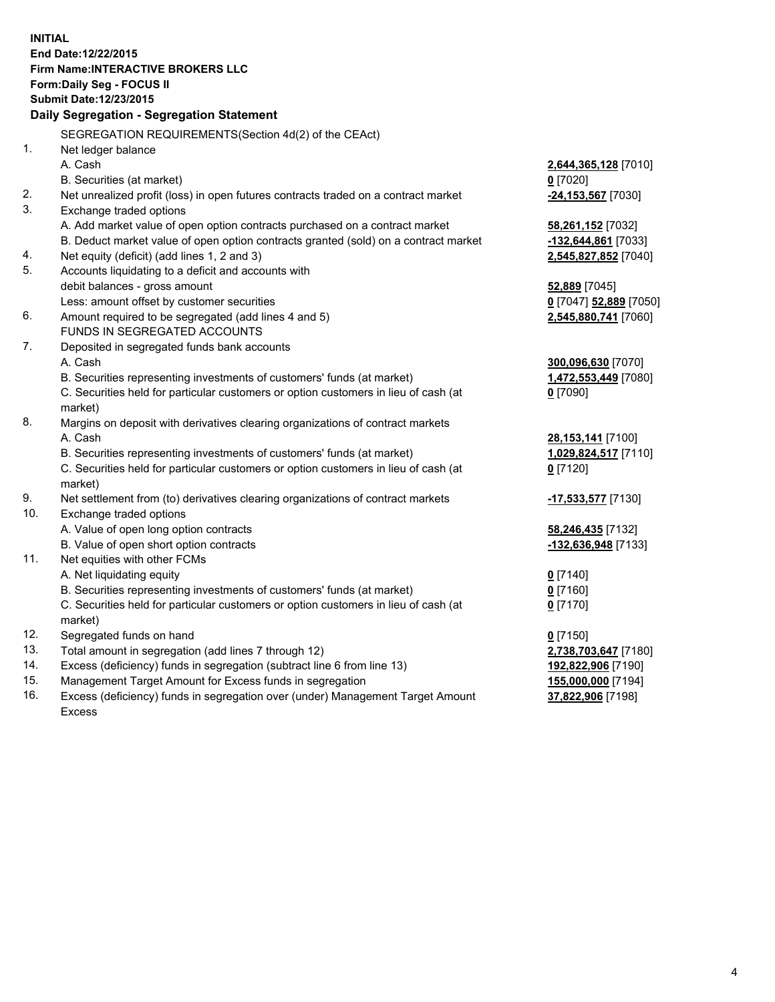**INITIAL End Date:12/22/2015 Firm Name:INTERACTIVE BROKERS LLC Form:Daily Seg - FOCUS II Submit Date:12/23/2015 Daily Segregation - Segregation Statement** SEGREGATION REQUIREMENTS(Section 4d(2) of the CEAct) 1. Net ledger balance A. Cash **2,644,365,128** [7010] B. Securities (at market) **0** [7020] 2. Net unrealized profit (loss) in open futures contracts traded on a contract market **-24,153,567** [7030] 3. Exchange traded options A. Add market value of open option contracts purchased on a contract market **58,261,152** [7032] B. Deduct market value of open option contracts granted (sold) on a contract market **-132,644,861** [7033] 4. Net equity (deficit) (add lines 1, 2 and 3) **2,545,827,852** [7040] 5. Accounts liquidating to a deficit and accounts with debit balances - gross amount **52,889** [7045] Less: amount offset by customer securities **0** [7047] **52,889** [7050] 6. Amount required to be segregated (add lines 4 and 5) **2,545,880,741** [7060] FUNDS IN SEGREGATED ACCOUNTS 7. Deposited in segregated funds bank accounts A. Cash **300,096,630** [7070] B. Securities representing investments of customers' funds (at market) **1,472,553,449** [7080] C. Securities held for particular customers or option customers in lieu of cash (at market) **0** [7090] 8. Margins on deposit with derivatives clearing organizations of contract markets A. Cash **28,153,141** [7100] B. Securities representing investments of customers' funds (at market) **1,029,824,517** [7110] C. Securities held for particular customers or option customers in lieu of cash (at market) **0** [7120] 9. Net settlement from (to) derivatives clearing organizations of contract markets **-17,533,577** [7130] 10. Exchange traded options A. Value of open long option contracts **58,246,435** [7132] B. Value of open short option contracts **-132,636,948** [7133] 11. Net equities with other FCMs A. Net liquidating equity **0** [7140] B. Securities representing investments of customers' funds (at market) **0** [7160] C. Securities held for particular customers or option customers in lieu of cash (at market) **0** [7170] 12. Segregated funds on hand **0** [7150] 13. Total amount in segregation (add lines 7 through 12) **2,738,703,647** [7180] 14. Excess (deficiency) funds in segregation (subtract line 6 from line 13) **192,822,906** [7190] 15. Management Target Amount for Excess funds in segregation **155,000,000** [7194] **37,822,906** [7198]

16. Excess (deficiency) funds in segregation over (under) Management Target Amount Excess